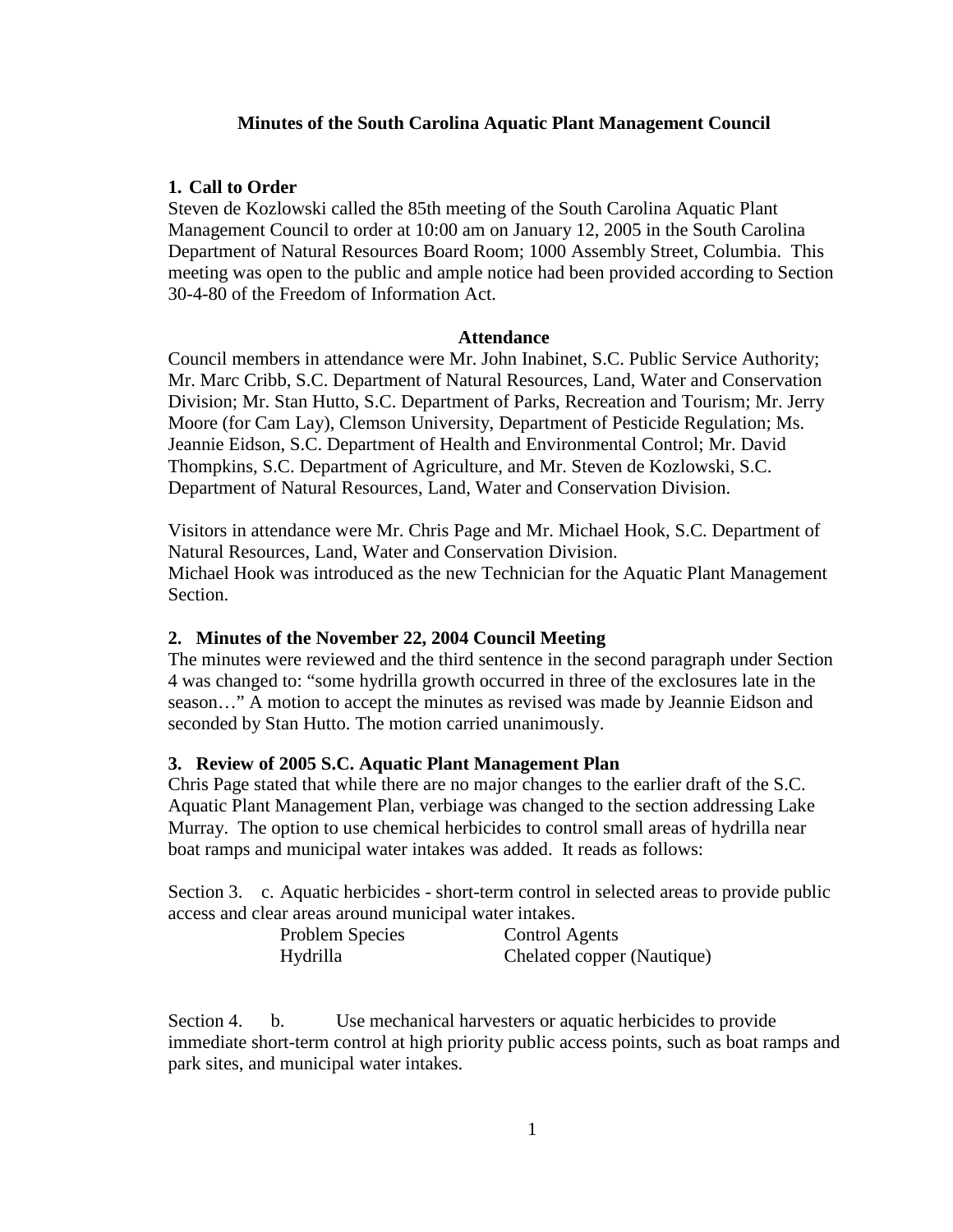## **Minutes of the South Carolina Aquatic Plant Management Council**

## **1. Call to Order**

Steven de Kozlowski called the 85th meeting of the South Carolina Aquatic Plant Management Council to order at 10:00 am on January 12, 2005 in the South Carolina Department of Natural Resources Board Room; 1000 Assembly Street, Columbia. This meeting was open to the public and ample notice had been provided according to Section 30-4-80 of the Freedom of Information Act.

#### **Attendance**

Council members in attendance were Mr. John Inabinet, S.C. Public Service Authority; Mr. Marc Cribb, S.C. Department of Natural Resources, Land, Water and Conservation Division; Mr. Stan Hutto, S.C. Department of Parks, Recreation and Tourism; Mr. Jerry Moore (for Cam Lay), Clemson University, Department of Pesticide Regulation; Ms. Jeannie Eidson, S.C. Department of Health and Environmental Control; Mr. David Thompkins, S.C. Department of Agriculture, and Mr. Steven de Kozlowski, S.C. Department of Natural Resources, Land, Water and Conservation Division.

Visitors in attendance were Mr. Chris Page and Mr. Michael Hook, S.C. Department of Natural Resources, Land, Water and Conservation Division. Michael Hook was introduced as the new Technician for the Aquatic Plant Management Section.

### **2. Minutes of the November 22, 2004 Council Meeting**

The minutes were reviewed and the third sentence in the second paragraph under Section 4 was changed to: "some hydrilla growth occurred in three of the exclosures late in the season…" A motion to accept the minutes as revised was made by Jeannie Eidson and seconded by Stan Hutto. The motion carried unanimously.

### **3. Review of 2005 S.C. Aquatic Plant Management Plan**

Chris Page stated that while there are no major changes to the earlier draft of the S.C. Aquatic Plant Management Plan, verbiage was changed to the section addressing Lake Murray. The option to use chemical herbicides to control small areas of hydrilla near boat ramps and municipal water intakes was added. It reads as follows:

Section 3. c. Aquatic herbicides - short-term control in selected areas to provide public access and clear areas around municipal water intakes.

| Problem Species | <b>Control Agents</b>      |
|-----------------|----------------------------|
| Hydrilla        | Chelated copper (Nautique) |

Section 4. b. Use mechanical harvesters or aquatic herbicides to provide immediate short-term control at high priority public access points, such as boat ramps and park sites, and municipal water intakes.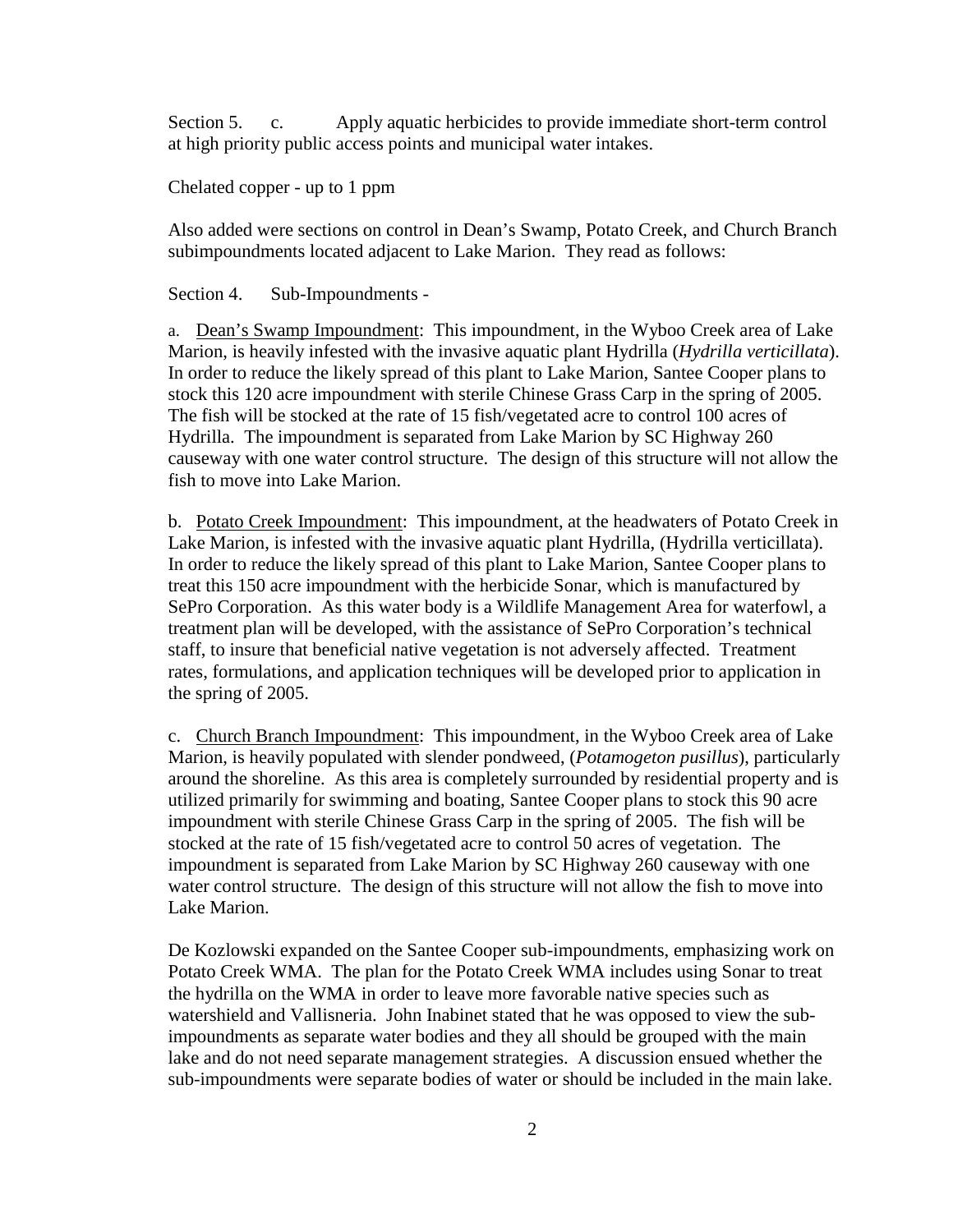Section 5. c. Apply aquatic herbicides to provide immediate short-term control at high priority public access points and municipal water intakes.

Chelated copper - up to 1 ppm

Also added were sections on control in Dean's Swamp, Potato Creek, and Church Branch subimpoundments located adjacent to Lake Marion. They read as follows:

Section 4. Sub-Impoundments -

a. Dean's Swamp Impoundment: This impoundment, in the Wyboo Creek area of Lake Marion, is heavily infested with the invasive aquatic plant Hydrilla (*Hydrilla verticillata*). In order to reduce the likely spread of this plant to Lake Marion, Santee Cooper plans to stock this 120 acre impoundment with sterile Chinese Grass Carp in the spring of 2005. The fish will be stocked at the rate of 15 fish/vegetated acre to control 100 acres of Hydrilla. The impoundment is separated from Lake Marion by SC Highway 260 causeway with one water control structure. The design of this structure will not allow the fish to move into Lake Marion.

b. Potato Creek Impoundment: This impoundment, at the headwaters of Potato Creek in Lake Marion, is infested with the invasive aquatic plant Hydrilla, (Hydrilla verticillata). In order to reduce the likely spread of this plant to Lake Marion, Santee Cooper plans to treat this 150 acre impoundment with the herbicide Sonar, which is manufactured by SePro Corporation. As this water body is a Wildlife Management Area for waterfowl, a treatment plan will be developed, with the assistance of SePro Corporation's technical staff, to insure that beneficial native vegetation is not adversely affected. Treatment rates, formulations, and application techniques will be developed prior to application in the spring of 2005.

c. Church Branch Impoundment: This impoundment, in the Wyboo Creek area of Lake Marion, is heavily populated with slender pondweed, (*Potamogeton pusillus*), particularly around the shoreline. As this area is completely surrounded by residential property and is utilized primarily for swimming and boating, Santee Cooper plans to stock this 90 acre impoundment with sterile Chinese Grass Carp in the spring of 2005. The fish will be stocked at the rate of 15 fish/vegetated acre to control 50 acres of vegetation. The impoundment is separated from Lake Marion by SC Highway 260 causeway with one water control structure. The design of this structure will not allow the fish to move into Lake Marion.

De Kozlowski expanded on the Santee Cooper sub-impoundments, emphasizing work on Potato Creek WMA. The plan for the Potato Creek WMA includes using Sonar to treat the hydrilla on the WMA in order to leave more favorable native species such as watershield and Vallisneria. John Inabinet stated that he was opposed to view the subimpoundments as separate water bodies and they all should be grouped with the main lake and do not need separate management strategies. A discussion ensued whether the sub-impoundments were separate bodies of water or should be included in the main lake.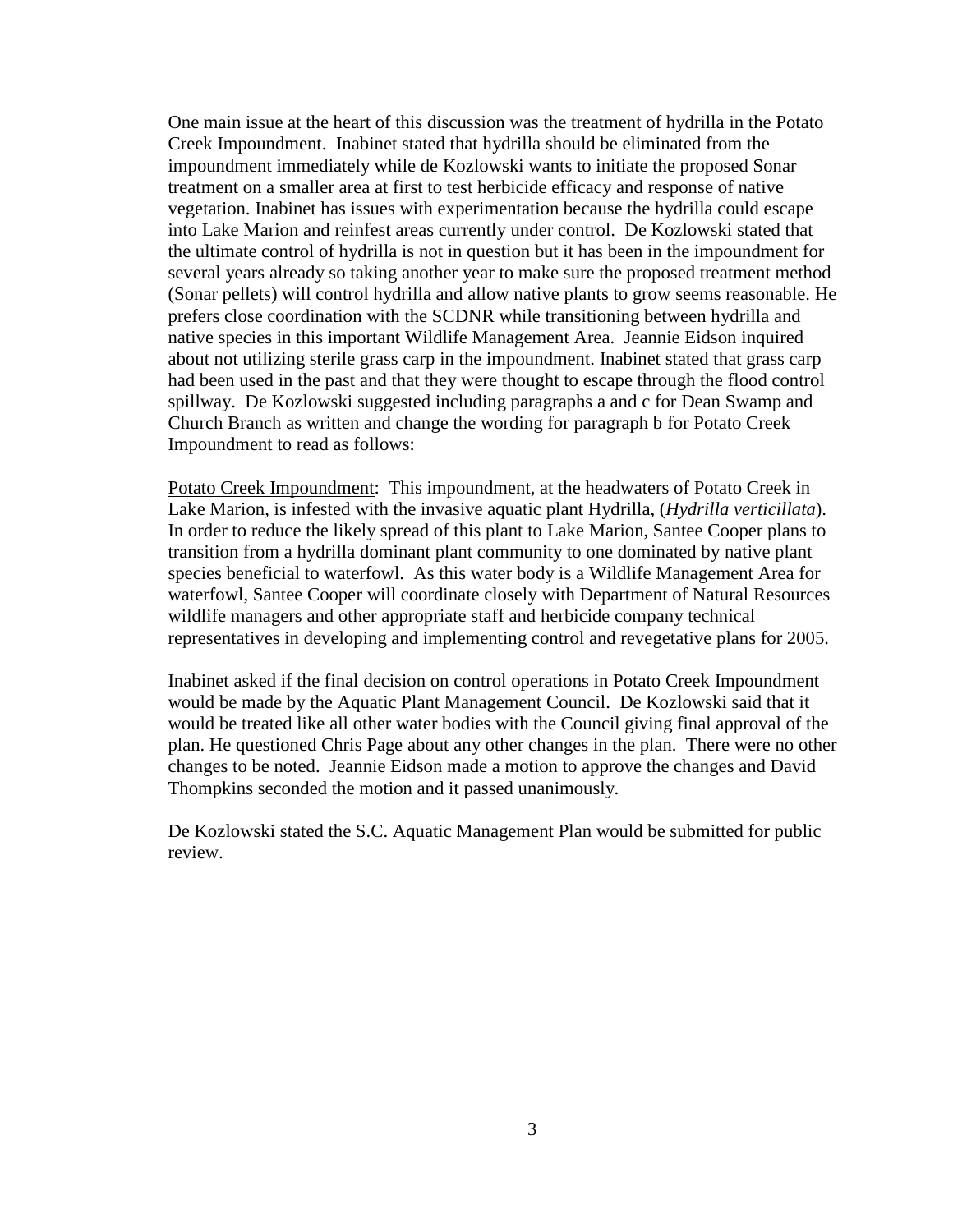One main issue at the heart of this discussion was the treatment of hydrilla in the Potato Creek Impoundment. Inabinet stated that hydrilla should be eliminated from the impoundment immediately while de Kozlowski wants to initiate the proposed Sonar treatment on a smaller area at first to test herbicide efficacy and response of native vegetation. Inabinet has issues with experimentation because the hydrilla could escape into Lake Marion and reinfest areas currently under control. De Kozlowski stated that the ultimate control of hydrilla is not in question but it has been in the impoundment for several years already so taking another year to make sure the proposed treatment method (Sonar pellets) will control hydrilla and allow native plants to grow seems reasonable. He prefers close coordination with the SCDNR while transitioning between hydrilla and native species in this important Wildlife Management Area. Jeannie Eidson inquired about not utilizing sterile grass carp in the impoundment. Inabinet stated that grass carp had been used in the past and that they were thought to escape through the flood control spillway. De Kozlowski suggested including paragraphs a and c for Dean Swamp and Church Branch as written and change the wording for paragraph b for Potato Creek Impoundment to read as follows:

Potato Creek Impoundment: This impoundment, at the headwaters of Potato Creek in Lake Marion, is infested with the invasive aquatic plant Hydrilla, (*Hydrilla verticillata*). In order to reduce the likely spread of this plant to Lake Marion, Santee Cooper plans to transition from a hydrilla dominant plant community to one dominated by native plant species beneficial to waterfowl. As this water body is a Wildlife Management Area for waterfowl, Santee Cooper will coordinate closely with Department of Natural Resources wildlife managers and other appropriate staff and herbicide company technical representatives in developing and implementing control and revegetative plans for 2005.

Inabinet asked if the final decision on control operations in Potato Creek Impoundment would be made by the Aquatic Plant Management Council. De Kozlowski said that it would be treated like all other water bodies with the Council giving final approval of the plan. He questioned Chris Page about any other changes in the plan. There were no other changes to be noted. Jeannie Eidson made a motion to approve the changes and David Thompkins seconded the motion and it passed unanimously.

De Kozlowski stated the S.C. Aquatic Management Plan would be submitted for public review.